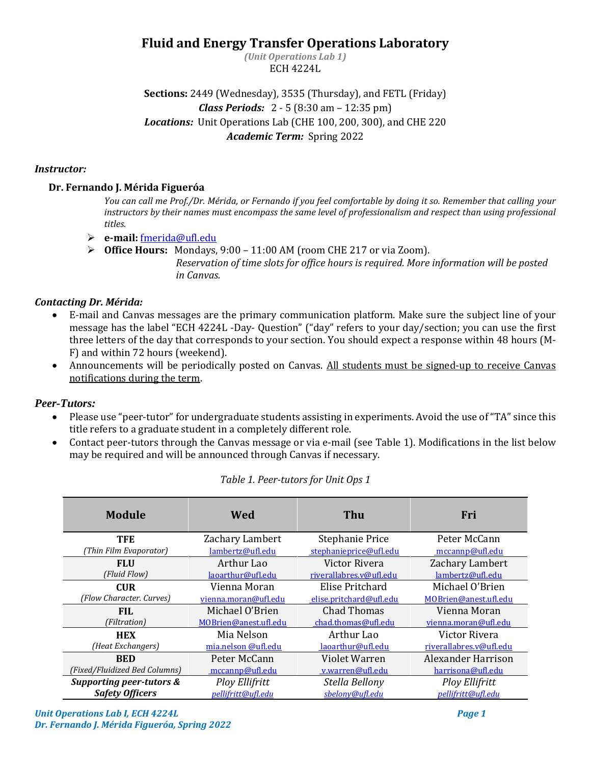# **Fluid and Energy Transfer Operations Laboratory**

*(Unit Operations Lab 1)* ECH 4224L

**Sections:** 2449 (Wednesday), 3535 (Thursday), and FETL (Friday) *Class Periods:* 2 - 5 (8:30 am – 12:35 pm) *Locations:* Unit Operations Lab (CHE 100, 200, 300), and CHE 220 *Academic Term:* Spring 2022

### *Instructor:*

### **Dr. Fernando J. Mérida Figueróa**

*You can call me Prof./Dr. Mérida, or Fernando if you feel comfortable by doing it so. Remember that calling your instructors by their names must encompass the same level of professionalism and respect than using professional titles.* 

- ➢ **e-mail:** [fmerida@ufl.edu](mailto:fmerida@ufl.edu)
- ➢ **Office Hours:** Mondays, 9:00 11:00 AM (room CHE 217 or via Zoom). *Reservation of time slots for office hours is required. More information will be posted in Canvas.*

# *Contacting Dr. Mérida:*

- E-mail and Canvas messages are the primary communication platform. Make sure the subject line of your message has the label "ECH 4224L -Day- Question" ("day" refers to your day/section; you can use the first three letters of the day that corresponds to your section. You should expect a response within 48 hours (M-F) and within 72 hours (weekend).
- Announcements will be periodically posted on Canvas. All students must be signed-up to receive Canvas notifications during the term.

# *Peer-Tutors:*

- Please use "peer-tutor" for undergraduate students assisting in experiments. Avoid the use of "TA" since this title refers to a graduate student in a completely different role.
- Contact peer-tutors through the Canvas message or via e-mail (see [Table 1\)](#page-0-0). Modifications in the list below may be required and will be announced through Canvas if necessary.

<span id="page-0-0"></span>

| Module                        | Wed                   | Thu                     | Fri                     |
|-------------------------------|-----------------------|-------------------------|-------------------------|
| TFE                           | Zachary Lambert       | Stephanie Price         | Peter McCann            |
| (Thin Film Evaporator)        | lambertz@ufl.edu      | stephanieprice@ufl.edu  | mccannp@ufl.edu         |
| <b>FLU</b>                    | Arthur Lao            | Victor Rivera           | Zachary Lambert         |
| (Fluid Flow)                  | laoarthur@ufl.edu     | riverallabres.v@ufl.edu | lambertz@ufl.edu        |
| <b>CUR</b>                    | Vienna Moran          | Elise Pritchard         | Michael O'Brien         |
| (Flow Character. Curves)      | vienna.moran@ufl.edu  | elise.pritchard@ufl.edu | MOBrien@anest.ufl.edu   |
| <b>FIL</b>                    | Michael O'Brien       | <b>Chad Thomas</b>      | Vienna Moran            |
| (Filtration)                  | MOBrien@anest.ufl.edu | chad.thomas@ufl.edu     | vienna.moran@ufl.edu    |
| <b>HEX</b>                    | Mia Nelson            | Arthur Lao              | Victor Rivera           |
| (Heat Exchangers)             | mia.nelson @ufl.edu   | laoarthur@ufl.edu       | riverallabres.v@ufl.edu |
| <b>BED</b>                    | Peter McCann          | Violet Warren           | Alexander Harrison      |
| (Fixed/Fluidized Bed Columns) | mccannp@ufl.edu       | v.warren@ufl.edu        | harrisona@ufl.edu       |
| Supporting peer-tutors &      | <b>Ploy Ellifritt</b> | Stella Bellony          | <b>Ploy Ellifritt</b>   |
| <b>Safety Officers</b>        | pellifritt@ufl.edu    | sbelony@ufl.edu         | pellifritt@ufl.edu      |

# *Table 1. Peer-tutors for Unit Ops 1*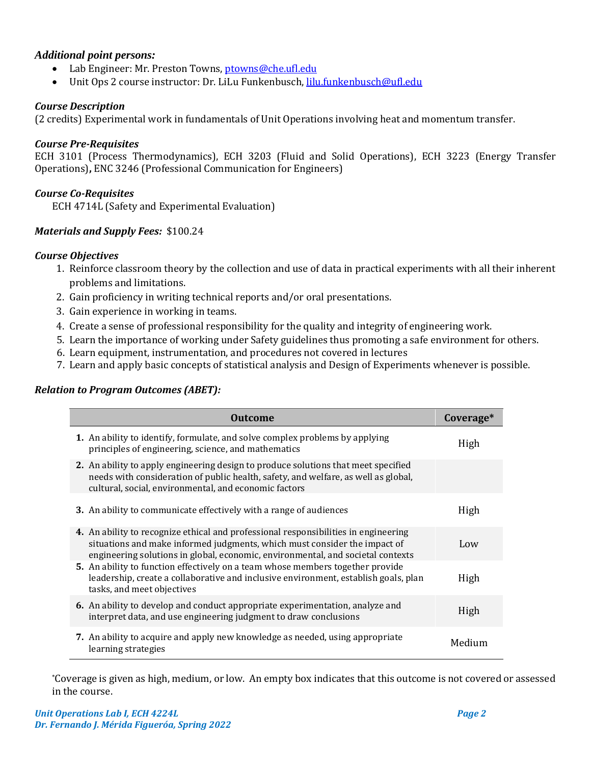# *Additional point persons:*

- Lab Engineer: Mr. Preston Towns, [ptowns@che.ufl.edu](mailto:ptowns@che.ufl.edu)
- Unit Ops 2 course instructor: Dr. LiLu Funkenbusch[, lilu.funkenbusch@ufl.edu](mailto:lilu.funkenbusch@ufl.edu)

### *Course Description*

(2 credits) Experimental work in fundamentals of Unit Operations involving heat and momentum transfer.

### *Course Pre-Requisites*

ECH 3101 (Process Thermodynamics), ECH 3203 (Fluid and Solid Operations), ECH 3223 (Energy Transfer Operations)**,** ENC 3246 (Professional Communication for Engineers)

### *Course Co-Requisites*

ECH 4714L (Safety and Experimental Evaluation)

# *Materials and Supply Fees:* \$100.24

### *Course Objectives*

- 1. Reinforce classroom theory by the collection and use of data in practical experiments with all their inherent problems and limitations.
- 2. Gain proficiency in writing technical reports and/or oral presentations.
- 3. Gain experience in working in teams.
- 4. Create a sense of professional responsibility for the quality and integrity of engineering work.
- 5. Learn the importance of working under Safety guidelines thus promoting a safe environment for others.
- 6. Learn equipment, instrumentation, and procedures not covered in lectures
- 7. Learn and apply basic concepts of statistical analysis and Design of Experiments whenever is possible.

#### *Relation to Program Outcomes (ABET):*

| <b>Outcome</b>                                                                                                                                                                                                                                      | Coverage* |
|-----------------------------------------------------------------------------------------------------------------------------------------------------------------------------------------------------------------------------------------------------|-----------|
| <b>1.</b> An ability to identify, formulate, and solve complex problems by applying<br>principles of engineering, science, and mathematics                                                                                                          | High      |
| 2. An ability to apply engineering design to produce solutions that meet specified<br>needs with consideration of public health, safety, and welfare, as well as global,<br>cultural, social, environmental, and economic factors                   |           |
| 3. An ability to communicate effectively with a range of audiences                                                                                                                                                                                  | High      |
| 4. An ability to recognize ethical and professional responsibilities in engineering<br>situations and make informed judgments, which must consider the impact of<br>engineering solutions in global, economic, environmental, and societal contexts | Low       |
| 5. An ability to function effectively on a team whose members together provide<br>leadership, create a collaborative and inclusive environment, establish goals, plan<br>tasks, and meet objectives                                                 | High      |
| <b>6.</b> An ability to develop and conduct appropriate experimentation, analyze and<br>interpret data, and use engineering judgment to draw conclusions                                                                                            | High      |
| 7. An ability to acquire and apply new knowledge as needed, using appropriate<br>learning strategies                                                                                                                                                | Medium    |

\*Coverage is given as high, medium, or low. An empty box indicates that this outcome is not covered or assessed in the course.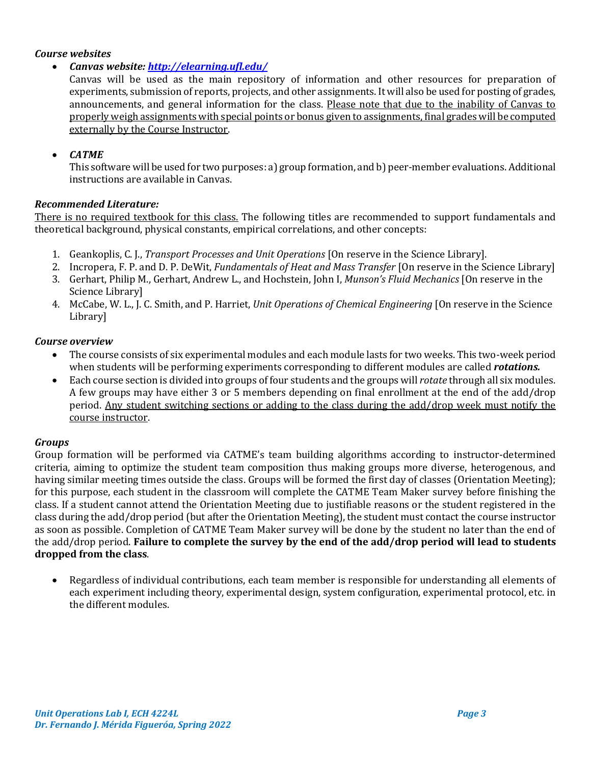# *Course websites*

• *Canvas website:<http://elearning.ufl.edu/>*

Canvas will be used as the main repository of information and other resources for preparation of experiments, submission of reports, projects, and other assignments. It will also be used for posting of grades, announcements, and general information for the class. Please note that due to the inability of Canvas to properly weigh assignments with special points or bonus given to assignments, final grades will be computed externally by the Course Instructor.

### • *CATME*

This software will be used for two purposes: a) group formation, and b) peer-member evaluations. Additional instructions are available in Canvas.

### *Recommended Literature:*

There is no required textbook for this class. The following titles are recommended to support fundamentals and theoretical background, physical constants, empirical correlations, and other concepts:

- 1. Geankoplis, C. J., *Transport Processes and Unit Operations* [On reserve in the Science Library].
- 2. Incropera, F. P. and D. P. DeWit, *Fundamentals of Heat and Mass Transfer* [On reserve in the Science Library]
- 3. Gerhart, Philip M., Gerhart, Andrew L., and Hochstein, John I, *Munson's Fluid Mechanics* [On reserve in the Science Library]
- 4. McCabe, W. L., J. C. Smith, and P. Harriet, *Unit Operations of Chemical Engineering* [On reserve in the Science Library]

#### *Course overview*

- The course consists of six experimental modules and each module lasts for two weeks. This two-week period when students will be performing experiments corresponding to different modules are called *rotations.*
- Each course section is divided into groups of four students and the groups will *rotate* through all six modules. A few groups may have either 3 or 5 members depending on final enrollment at the end of the add/drop period. Any student switching sections or adding to the class during the add/drop week must notify the course instructor.

#### *Groups*

Group formation will be performed via CATME's team building algorithms according to instructor-determined criteria, aiming to optimize the student team composition thus making groups more diverse, heterogenous, and having similar meeting times outside the class. Groups will be formed the first day of classes (Orientation Meeting); for this purpose, each student in the classroom will complete the CATME Team Maker survey before finishing the class. If a student cannot attend the Orientation Meeting due to justifiable reasons or the student registered in the class during the add/drop period (but after the Orientation Meeting), the student must contact the course instructor as soon as possible. Completion of CATME Team Maker survey will be done by the student no later than the end of the add/drop period. **Failure to complete the survey by the end of the add/drop period will lead to students dropped from the class**.

• Regardless of individual contributions, each team member is responsible for understanding all elements of each experiment including theory, experimental design, system configuration, experimental protocol, etc. in the different modules.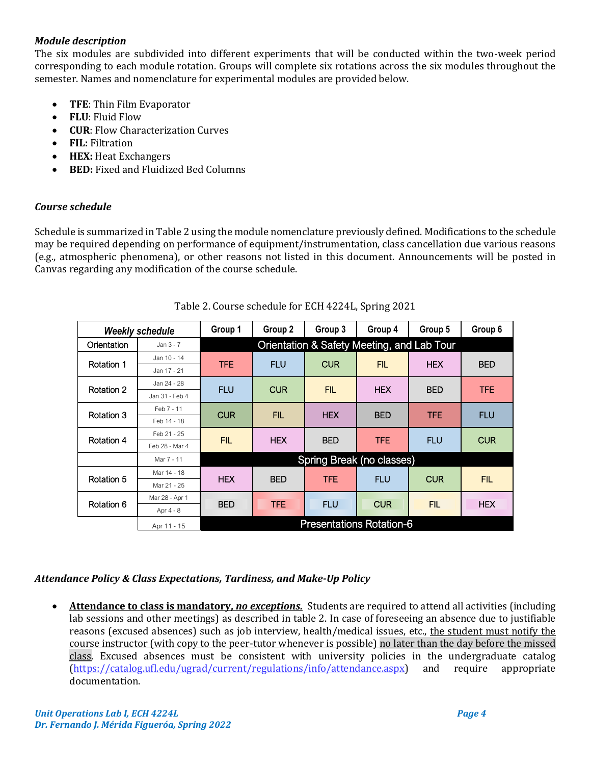# *Module description*

The six modules are subdivided into different experiments that will be conducted within the two-week period corresponding to each module rotation. Groups will complete six rotations across the six modules throughout the semester. Names and nomenclature for experimental modules are provided below.

- **TFE**: Thin Film Evaporator
- **FLU**: Fluid Flow
- **CUR**: Flow Characterization Curves
- **FIL:** Filtration
- **HEX:** Heat Exchangers
- **BED:** Fixed and Fluidized Bed Columns

# *Course schedule*

Schedule is summarized in [Table 2](#page-3-0) using the module nomenclature previously defined. Modifications to the schedule may be required depending on performance of equipment/instrumentation, class cancellation due various reasons (e.g., atmospheric phenomena), or other reasons not listed in this document. Announcements will be posted in Canvas regarding any modification of the course schedule.

<span id="page-3-0"></span>

|                   | <b>Weekly schedule</b> | Group 1                                    | Group 2    | Group 3    | Group 4    | Group 5    | Group 6    |
|-------------------|------------------------|--------------------------------------------|------------|------------|------------|------------|------------|
| Orientation       | Jan $3 - 7$            | Orientation & Safety Meeting, and Lab Tour |            |            |            |            |            |
| Rotation 1        | Jan 10 - 14            | <b>TFE</b>                                 | <b>FLU</b> | <b>CUR</b> | <b>FIL</b> | <b>HEX</b> | <b>BED</b> |
|                   | Jan 17 - 21            |                                            |            |            |            |            |            |
| <b>Rotation 2</b> | Jan 24 - 28            | <b>FLU</b>                                 | <b>CUR</b> | <b>FIL</b> | <b>HEX</b> | <b>BED</b> | <b>TFE</b> |
|                   | Jan 31 - Feb 4         |                                            |            |            |            |            |            |
| Rotation 3        | Feb 7 - 11             | <b>CUR</b>                                 | <b>FIL</b> | <b>HEX</b> | <b>BED</b> | <b>TFE</b> | <b>FLU</b> |
|                   | Feb 14 - 18            |                                            |            |            |            |            |            |
| <b>Rotation 4</b> | Feb 21 - 25            | <b>FIL</b>                                 | <b>HEX</b> | <b>BED</b> | <b>TFE</b> | <b>FLU</b> | <b>CUR</b> |
|                   | Feb 28 - Mar 4         |                                            |            |            |            |            |            |
|                   | Mar 7 - 11             | Spring Break (no classes)                  |            |            |            |            |            |
|                   | Mar 14 - 18            | <b>HEX</b>                                 |            |            |            |            | <b>FIL</b> |
| Rotation 5        | Mar 21 - 25            |                                            | <b>BED</b> | <b>TFE</b> | <b>FLU</b> | <b>CUR</b> |            |
|                   | Mar 28 - Apr 1         | <b>BED</b>                                 | mac        | <b>FLU</b> | <b>CUR</b> | <b>FIL</b> | <b>HEX</b> |
| Rotation 6        | Apr 4 - 8              |                                            |            |            |            |            |            |
|                   | Apr 11 - 15            | <b>Presentations Rotation-6</b>            |            |            |            |            |            |

# Table 2. Course schedule for ECH 4224L, Spring 2021

# *Attendance Policy & Class Expectations, Tardiness, and Make-Up Policy*

• **Attendance to class is mandatory,** *no exceptions.*Students are required to attend all activities (including lab sessions and other meetings) as described in table 2. In case of foreseeing an absence due to justifiable reasons (excused absences) such as job interview, health/medical issues, etc., the student must notify the course instructor (with copy to the peer-tutor whenever is possible) no later than the day before the missed class. Excused absences must be consistent with university policies in the undergraduate catalog [\(https://catalog.ufl.edu/ugrad/current/regulations/info/attendance.aspx\)](https://catalog.ufl.edu/ugrad/current/regulations/info/attendance.aspx) and require appropriate documentation.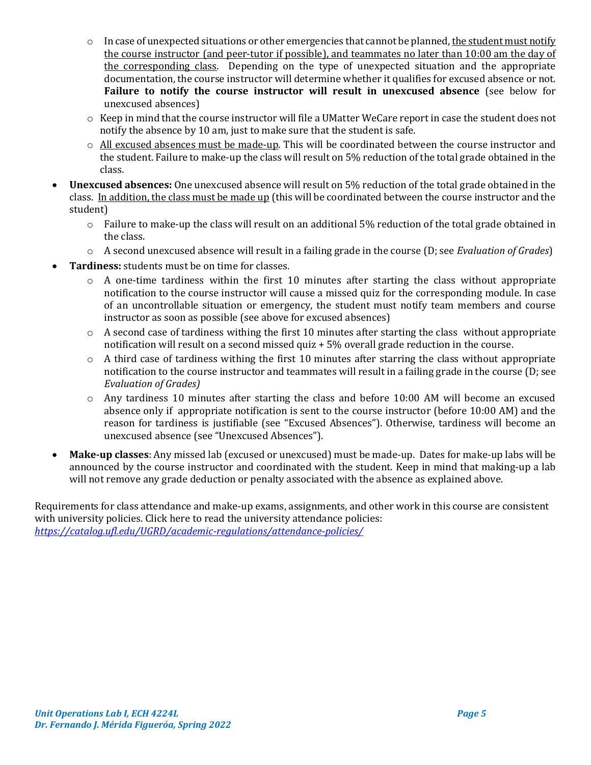- $\circ$  In case of unexpected situations or other emergencies that cannot be planned, the student must notify the course instructor (and peer-tutor if possible), and teammates no later than 10:00 am the day of the corresponding class. Depending on the type of unexpected situation and the appropriate documentation, the course instructor will determine whether it qualifies for excused absence or not. **Failure to notify the course instructor will result in unexcused absence** (see below for unexcused absences)
- $\circ$  Keep in mind that the course instructor will file a UMatter WeCare report in case the student does not notify the absence by 10 am, just to make sure that the student is safe.
- o All excused absences must be made-up. This will be coordinated between the course instructor and the student. Failure to make-up the class will result on 5% reduction of the total grade obtained in the class.
- **Unexcused absences:** One unexcused absence will result on 5% reduction of the total grade obtained in the class. In addition, the class must be made up (this will be coordinated between the course instructor and the student)
	- $\circ$  Failure to make-up the class will result on an additional 5% reduction of the total grade obtained in the class.
	- o A second unexcused absence will result in a failing grade in the course (D; see *Evaluation of Grades*)
- **Tardiness:** students must be on time for classes.
	- o A one-time tardiness within the first 10 minutes after starting the class without appropriate notification to the course instructor will cause a missed quiz for the corresponding module. In case of an uncontrollable situation or emergency, the student must notify team members and course instructor as soon as possible (see above for excused absences)
	- $\circ$  A second case of tardiness withing the first 10 minutes after starting the class without appropriate notification will result on a second missed quiz + 5% overall grade reduction in the course.
	- $\circ$  A third case of tardiness withing the first 10 minutes after starring the class without appropriate notification to the course instructor and teammates will result in a failing grade in the course (D; see *Evaluation of Grades)*
	- o Any tardiness 10 minutes after starting the class and before 10:00 AM will become an excused absence only if appropriate notification is sent to the course instructor (before 10:00 AM) and the reason for tardiness is justifiable (see "Excused Absences"). Otherwise, tardiness will become an unexcused absence (see "Unexcused Absences").
- **Make-up classes**: Any missed lab (excused or unexcused) must be made-up. Dates for make-up labs will be announced by the course instructor and coordinated with the student. Keep in mind that making-up a lab will not remove any grade deduction or penalty associated with the absence as explained above.

Requirements for class attendance and make-up exams, assignments, and other work in this course are consistent with university policies. Click here to read the university attendance policies: *<https://catalog.ufl.edu/UGRD/academic-regulations/attendance-policies/>*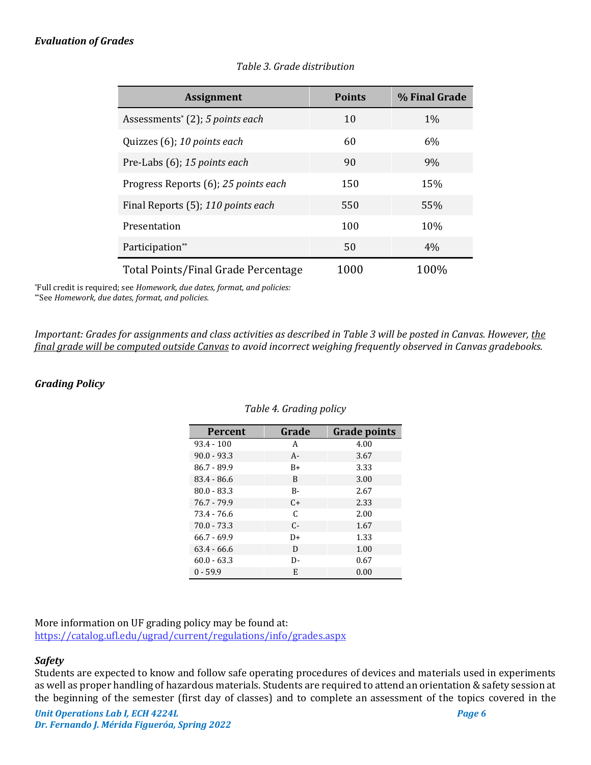# <span id="page-5-0"></span>*Evaluation of Grades*

| <b>Assignment</b>                           | <b>Points</b> | % Final Grade |
|---------------------------------------------|---------------|---------------|
| Assessments <sup>*</sup> (2); 5 points each | 10            | $1\%$         |
| Quizzes (6); 10 points each                 | 60            | 6%            |
| Pre-Labs (6); 15 points each                | 90            | 9%            |
| Progress Reports (6); 25 points each        | 150           | 15%           |
| Final Reports (5); 110 points each          | 550           | 55%           |
| Presentation                                | 100           | 10%           |
| Participation**                             | 50            | 4%            |
| Total Points/Final Grade Percentage         | 1000          | 100%          |

# *Table 3. Grade distribution*

\*Full credit is required; see *Homework, due dates, format, and policies:* \*\*See *Homework, due dates, format, and policies.*

*Important: Grades for assignments and class activities as described i[n Table 3](#page-5-0) will be posted in Canvas. However, the final grade will be computed outside Canvas to avoid incorrect weighing frequently observed in Canvas gradebooks.*

#### *Grading Policy*

| <b>Percent</b> | Grade     | <b>Grade points</b> |
|----------------|-----------|---------------------|
| $93.4 - 100$   | A         | 4.00                |
| $90.0 - 93.3$  | $A -$     | 3.67                |
| $86.7 - 89.9$  | $B+$      | 3.33                |
| $83.4 - 86.6$  | B         | 3.00                |
| $80.0 - 83.3$  | B-        | 2.67                |
| $76.7 - 79.9$  | $C_{\pm}$ | 2.33                |
| 73.4 - 76.6    | C         | 2.00                |
| $70.0 - 73.3$  | $C -$     | 1.67                |
| $66.7 - 69.9$  | D+        | 1.33                |
| $63.4 - 66.6$  | D         | 1.00                |
| $60.0 - 63.3$  | D-        | 0.67                |
| $0 - 59.9$     | E         | 0.00                |

#### *Table 4. Grading policy*

More information on UF grading policy may be found at: <https://catalog.ufl.edu/ugrad/current/regulations/info/grades.aspx>

#### *Safety*

Students are expected to know and follow safe operating procedures of devices and materials used in experiments as well as proper handling of hazardous materials. Students are required to attend an orientation & safety session at the beginning of the semester (first day of classes) and to complete an assessment of the topics covered in the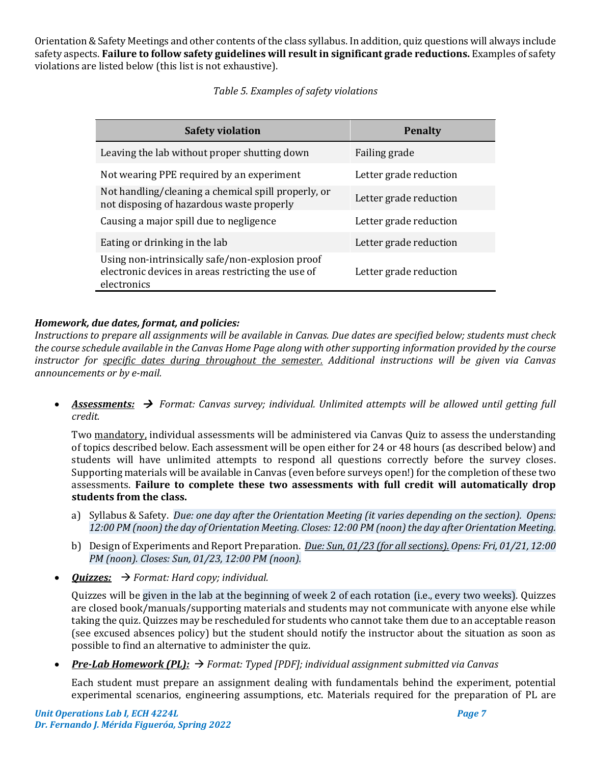Orientation & Safety Meetings and other contents of the class syllabus. In addition, quiz questions will always include safety aspects. **Failure to follow safety guidelines will result in significant grade reductions.** Examples of safety violations are listed below (this list is not exhaustive).

# *Table 5. Examples of safety violations*

| <b>Safety violation</b>                                                                                               | <b>Penalty</b>         |
|-----------------------------------------------------------------------------------------------------------------------|------------------------|
| Leaving the lab without proper shutting down                                                                          | Failing grade          |
| Not wearing PPE required by an experiment                                                                             | Letter grade reduction |
| Not handling/cleaning a chemical spill properly, or<br>not disposing of hazardous waste properly                      | Letter grade reduction |
| Causing a major spill due to negligence                                                                               | Letter grade reduction |
| Eating or drinking in the lab                                                                                         | Letter grade reduction |
| Using non-intrinsically safe/non-explosion proof<br>electronic devices in areas restricting the use of<br>electronics | Letter grade reduction |

# *Homework, due dates, format, and policies:*

*Instructions to prepare all assignments will be available in Canvas. Due dates are specified below; students must check the course schedule available in the Canvas Home Page along with other supporting information provided by the course instructor for specific dates during throughout the semester. Additional instructions will be given via Canvas announcements or by e-mail.*

• *Assessments:* → *Format: Canvas survey; individual. Unlimited attempts will be allowed until getting full credit.*

Two mandatory, individual assessments will be administered via Canvas Quiz to assess the understanding of topics described below. Each assessment will be open either for 24 or 48 hours (as described below) and students will have unlimited attempts to respond all questions correctly before the survey closes. Supporting materials will be available in Canvas (even before surveys open!) for the completion of these two assessments. **Failure to complete these two assessments with full credit will automatically drop students from the class.**

- a) Syllabus & Safety. *Due: one day after the Orientation Meeting (it varies depending on the section). Opens:*  12:00 PM (noon) the day of Orientation Meeting. Closes: 12:00 PM (noon) the day after Orientation Meeting.
- b) Design of Experiments and Report Preparation. *Due: Sun, 01/23 (for all sections). Opens: Fri, 01/21, 12:00 PM (noon). Closes: Sun, 01/23, 12:00 PM (noon).*
- *Quizzes:* → *Format: Hard copy; individual.*

Quizzes will be given in the lab at the beginning of week 2 of each rotation (i.e., every two weeks). Quizzes are closed book/manuals/supporting materials and students may not communicate with anyone else while taking the quiz. Quizzes may be rescheduled for students who cannot take them due to an acceptable reason (see excused absences policy) but the student should notify the instructor about the situation as soon as possible to find an alternative to administer the quiz.

• *Pre-Lab Homework (PL):* → *Format: Typed [PDF]; individual assignment submitted via Canvas*

Each student must prepare an assignment dealing with fundamentals behind the experiment, potential experimental scenarios, engineering assumptions, etc. Materials required for the preparation of PL are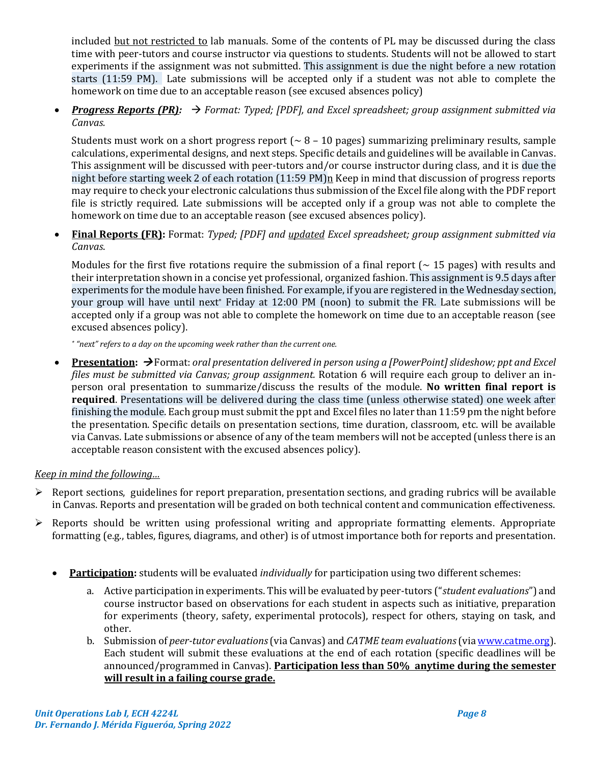included but not restricted to lab manuals. Some of the contents of PL may be discussed during the class time with peer-tutors and course instructor via questions to students. Students will not be allowed to start experiments if the assignment was not submitted. This assignment is due the night before a new rotation starts (11:59 PM). Late submissions will be accepted only if a student was not able to complete the homework on time due to an acceptable reason (see excused absences policy)

• *Progress Reports (PR):* → *Format: Typed; [PDF], and Excel spreadsheet; group assignment submitted via Canvas.*

Students must work on a short progress report  $($   $\sim$  8 – 10 pages) summarizing preliminary results, sample calculations, experimental designs, and next steps. Specific details and guidelines will be available in Canvas. This assignment will be discussed with peer-tutors and/or course instructor during class, and it is due the night before starting week 2 of each rotation (11:59 PM)n Keep in mind that discussion of progress reports may require to check your electronic calculations thus submission of the Excel file along with the PDF report file is strictly required. Late submissions will be accepted only if a group was not able to complete the homework on time due to an acceptable reason (see excused absences policy).

• **Final Reports (FR):** Format: *Typed; [PDF] and updated Excel spreadsheet; group assignment submitted via Canvas*.

Modules for the first five rotations require the submission of a final report ( $\sim$  15 pages) with results and their interpretation shown in a concise yet professional, organized fashion. This assignment is 9.5 days after experiments for the module have been finished. For example, if you are registered in the Wednesday section, your group will have until next\* Friday at 12:00 PM (noon) to submit the FR. Late submissions will be accepted only if a group was not able to complete the homework on time due to an acceptable reason (see excused absences policy).

*\* "next" refers to a day on the upcoming week rather than the current one.*

**Presentation:** → Format: *oral presentation delivered in person using a [PowerPoint] slideshow; ppt and Excel files must be submitted via Canvas; group assignment.* Rotation 6 will require each group to deliver an inperson oral presentation to summarize/discuss the results of the module. **No written final report is required**. Presentations will be delivered during the class time (unless otherwise stated) one week after finishing the module. Each group must submit the ppt and Excel files no later than 11:59 pm the night before the presentation. Specific details on presentation sections, time duration, classroom, etc. will be available via Canvas. Late submissions or absence of any of the team members will not be accepted (unless there is an acceptable reason consistent with the excused absences policy).

# *Keep in mind the following…*

- $\triangleright$  Report sections, guidelines for report preparation, presentation sections, and grading rubrics will be available in Canvas. Reports and presentation will be graded on both technical content and communication effectiveness.
- $\triangleright$  Reports should be written using professional writing and appropriate formatting elements. Appropriate formatting (e.g., tables, figures, diagrams, and other) is of utmost importance both for reports and presentation.
	- **Participation:** students will be evaluated *individually* for participation using two different schemes:
		- a. Active participation in experiments. This will be evaluated by peer-tutors ("*student evaluations*") and course instructor based on observations for each student in aspects such as initiative, preparation for experiments (theory, safety, experimental protocols), respect for others, staying on task, and other.
		- b. Submission of *peer-tutor evaluations*(via Canvas) and *CATME team evaluations*(vi[a www.catme.org\)](http://www.catme.org/). Each student will submit these evaluations at the end of each rotation (specific deadlines will be announced/programmed in Canvas). **Participation less than 50% anytime during the semester will result in a failing course grade.**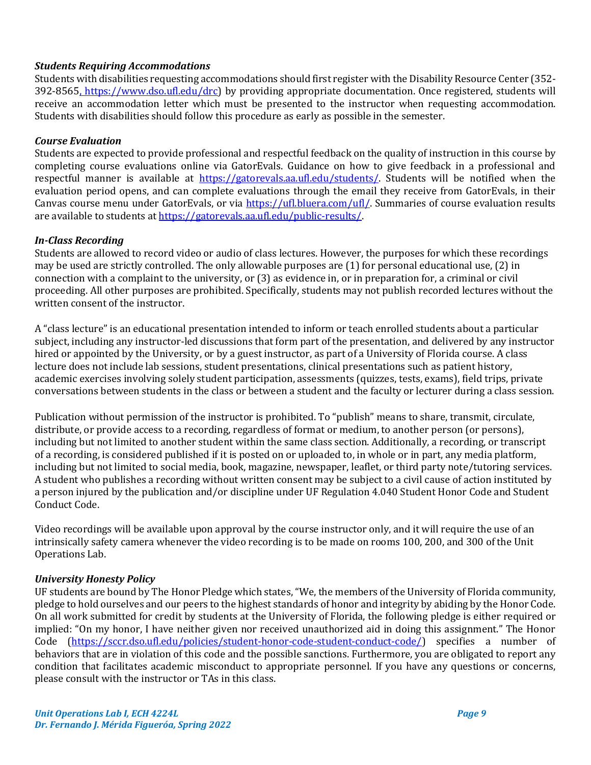# *Students Requiring Accommodations*

Students with disabilities requesting accommodations should first register with the Disability Resource Center (352- 392-8565, https://www.dso.ufl.edu/drc) by providing appropriate documentation. Once registered, students will receive an accommodation letter which must be presented to the instructor when requesting accommodation. Students with disabilities should follow this procedure as early as possible in the semester.

# *Course Evaluation*

Students are expected to provide professional and respectful feedback on the quality of instruction in this course by completing course evaluations online via GatorEvals. Guidance on how to give feedback in a professional and respectful manner is available at [https://gatorevals.aa.ufl.edu/students/.](https://gatorevals.aa.ufl.edu/students/) Students will be notified when the evaluation period opens, and can complete evaluations through the email they receive from GatorEvals, in their Canvas course menu under GatorEvals, or via [https://ufl.bluera.com/ufl/.](https://ufl.bluera.com/ufl/) Summaries of course evaluation results are available to students a[t https://gatorevals.aa.ufl.edu/public-results/.](https://gatorevals.aa.ufl.edu/public-results/)

# *In-Class Recording*

Students are allowed to record video or audio of class lectures. However, the purposes for which these recordings may be used are strictly controlled. The only allowable purposes are (1) for personal educational use, (2) in connection with a complaint to the university, or (3) as evidence in, or in preparation for, a criminal or civil proceeding. All other purposes are prohibited. Specifically, students may not publish recorded lectures without the written consent of the instructor.

A "class lecture" is an educational presentation intended to inform or teach enrolled students about a particular subject, including any instructor-led discussions that form part of the presentation, and delivered by any instructor hired or appointed by the University, or by a guest instructor, as part of a University of Florida course. A class lecture does not include lab sessions, student presentations, clinical presentations such as patient history, academic exercises involving solely student participation, assessments (quizzes, tests, exams), field trips, private conversations between students in the class or between a student and the faculty or lecturer during a class session.

Publication without permission of the instructor is prohibited. To "publish" means to share, transmit, circulate, distribute, or provide access to a recording, regardless of format or medium, to another person (or persons), including but not limited to another student within the same class section. Additionally, a recording, or transcript of a recording, is considered published if it is posted on or uploaded to, in whole or in part, any media platform, including but not limited to social media, book, magazine, newspaper, leaflet, or third party note/tutoring services. A student who publishes a recording without written consent may be subject to a civil cause of action instituted by a person injured by the publication and/or discipline under UF Regulation 4.040 Student Honor Code and Student Conduct Code.

Video recordings will be available upon approval by the course instructor only, and it will require the use of an intrinsically safety camera whenever the video recording is to be made on rooms 100, 200, and 300 of the Unit Operations Lab.

# *University Honesty Policy*

UF students are bound by The Honor Pledge which states, "We, the members of the University of Florida community, pledge to hold ourselves and our peers to the highest standards of honor and integrity by abiding by the Honor Code. On all work submitted for credit by students at the University of Florida, the following pledge is either required or implied: "On my honor, I have neither given nor received unauthorized aid in doing this assignment." The Honor Code [\(https://sccr.dso.ufl.edu/policies/student-honor-code-student-conduct-code/\)](https://sccr.dso.ufl.edu/policies/student-honor-code-student-conduct-code/) specifies a number of behaviors that are in violation of this code and the possible sanctions. Furthermore, you are obligated to report any condition that facilitates academic misconduct to appropriate personnel. If you have any questions or concerns, please consult with the instructor or TAs in this class.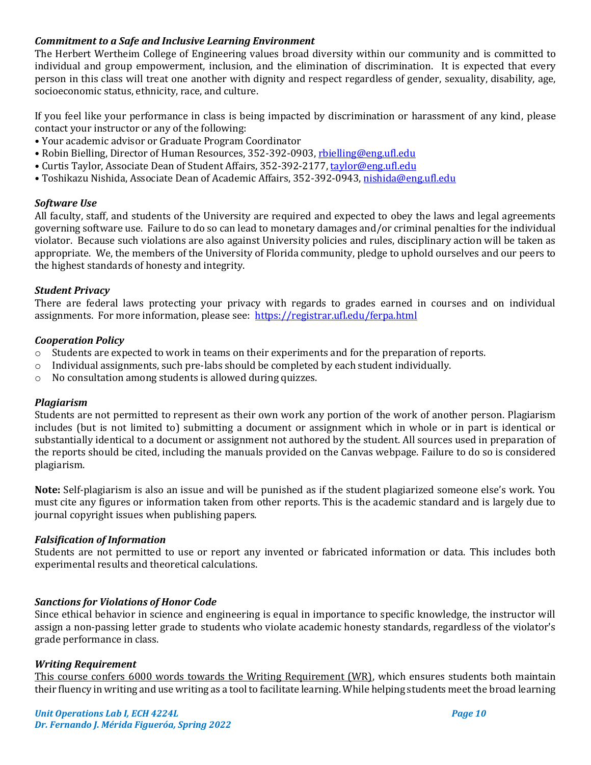### *Commitment to a Safe and Inclusive Learning Environment*

The Herbert Wertheim College of Engineering values broad diversity within our community and is committed to individual and group empowerment, inclusion, and the elimination of discrimination. It is expected that every person in this class will treat one another with dignity and respect regardless of gender, sexuality, disability, age, socioeconomic status, ethnicity, race, and culture.

If you feel like your performance in class is being impacted by discrimination or harassment of any kind, please contact your instructor or any of the following:

- Your academic advisor or Graduate Program Coordinator
- Robin Bielling, Director of Human Resources, 352-392-0903, [rbielling@eng.ufl.edu](mailto:rbielling@eng.ufl.edu)
- Curtis Taylor, Associate Dean of Student Affairs, 352-392-2177[, taylor@eng.ufl.edu](mailto:taylor@eng.ufl.edu)
- Toshikazu Nishida, Associate Dean of Academic Affairs, 352-392-0943[, nishida@eng.ufl.edu](mailto:nishida@eng.ufl.edu)

#### *Software Use*

All faculty, staff, and students of the University are required and expected to obey the laws and legal agreements governing software use. Failure to do so can lead to monetary damages and/or criminal penalties for the individual violator. Because such violations are also against University policies and rules, disciplinary action will be taken as appropriate. We, the members of the University of Florida community, pledge to uphold ourselves and our peers to the highest standards of honesty and integrity.

#### *Student Privacy*

There are federal laws protecting your privacy with regards to grades earned in courses and on individual assignments. For more information, please see: <https://registrar.ufl.edu/ferpa.html>

#### *Cooperation Policy*

- o Students are expected to work in teams on their experiments and for the preparation of reports.
- $\circ$  Individual assignments, such pre-labs should be completed by each student individually.
- o No consultation among students is allowed during quizzes.

#### *Plagiarism*

Students are not permitted to represent as their own work any portion of the work of another person. Plagiarism includes (but is not limited to) submitting a document or assignment which in whole or in part is identical or substantially identical to a document or assignment not authored by the student. All sources used in preparation of the reports should be cited, including the manuals provided on the Canvas webpage. Failure to do so is considered plagiarism.

**Note:** Self-plagiarism is also an issue and will be punished as if the student plagiarized someone else's work. You must cite any figures or information taken from other reports. This is the academic standard and is largely due to journal copyright issues when publishing papers.

#### *Falsification of Information*

Students are not permitted to use or report any invented or fabricated information or data. This includes both experimental results and theoretical calculations.

#### *Sanctions for Violations of Honor Code*

Since ethical behavior in science and engineering is equal in importance to specific knowledge, the instructor will assign a non-passing letter grade to students who violate academic honesty standards, regardless of the violator's grade performance in class.

#### *Writing Requirement*

This course confers 6000 words towards the Writing Requirement (WR), which ensures students both maintain their fluency in writing and use writing as a tool to facilitate learning. While helping students meet the broad learning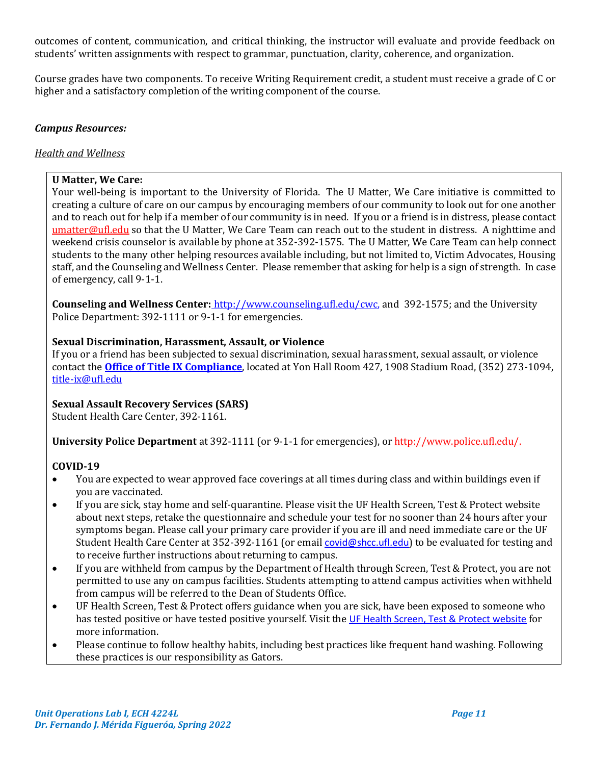outcomes of content, communication, and critical thinking, the instructor will evaluate and provide feedback on students' written assignments with respect to grammar, punctuation, clarity, coherence, and organization.

Course grades have two components. To receive Writing Requirement credit, a student must receive a grade of C or higher and a satisfactory completion of the writing component of the course.

#### *Campus Resources:*

#### *Health and Wellness*

### **U Matter, We Care:**

Your well-being is important to the University of Florida. The U Matter, We Care initiative is committed to creating a culture of care on our campus by encouraging members of our community to look out for one another and to reach out for help if a member of our community is in need. If you or a friend is in distress, please contact [umatter@ufl.edu](mailto:umatter@ufl.edu) so that the U Matter, We Care Team can reach out to the student in distress. A nighttime and weekend crisis counselor is available by phone at 352-392-1575. The U Matter, We Care Team can help connect students to the many other helping resources available including, but not limited to, Victim Advocates, Housing staff, and the Counseling and Wellness Center. Please remember that asking for help is a sign of strength. In case of emergency, call 9-1-1.

**Counseling and Wellness Center:** [http://www.counseling.ufl.edu/cwc,](http://www.counseling.ufl.edu/cwc) and 392-1575; and the University Police Department: 392-1111 or 9-1-1 for emergencies.

### **Sexual Discrimination, Harassment, Assault, or Violence**

If you or a friend has been subjected to sexual discrimination, sexual harassment, sexual assault, or violence contact the **[Office of Title IX Compliance](https://titleix.ufl.edu/)**, located at Yon Hall Room 427, 1908 Stadium Road, (352) 273-1094, [title-ix@ufl.edu](mailto:title-ix@ufl.edu)

# **Sexual Assault Recovery Services (SARS)**

Student Health Care Center, 392-1161.

**University Police Department** at 392-1111 (or 9-1-1 for emergencies), o[r http://www.police.ufl.edu/.](http://www.police.ufl.edu/)

# **COVID-19**

- You are expected to wear approved face coverings at all times during class and within buildings even if you are vaccinated.
- If you are sick, stay home and self-quarantine. Please visit the UF Health Screen, Test & Protect website about next steps, retake the questionnaire and schedule your test for no sooner than 24 hours after your symptoms began. Please call your primary care provider if you are ill and need immediate care or the UF Student Health Care Center at 352-392-1161 (or email [covid@shcc.ufl.edu](mailto:covid@shcc.ufl.edu)) to be evaluated for testing and to receive further instructions about returning to campus.
- If you are withheld from campus by the Department of Health through Screen, Test & Protect, you are not permitted to use any on campus facilities. Students attempting to attend campus activities when withheld from campus will be referred to the Dean of Students Office.
- UF Health Screen, Test & Protect offers guidance when you are sick, have been exposed to someone who has tested positive or have tested positive yourself. Visit the [UF Health Screen, Test & Protect website](https://click.info.gator360.ufl.edu/?qs=8f0d5e01a3f7385148f144e2089093522a358a8d85cb9db73c31675d3c5e5c0d27748d40c212f544822551342f1912ea5b4f2b890d5952e8) for more information.
- Please continue to follow healthy habits, including best practices like frequent hand washing. Following these practices is our responsibility as Gators.